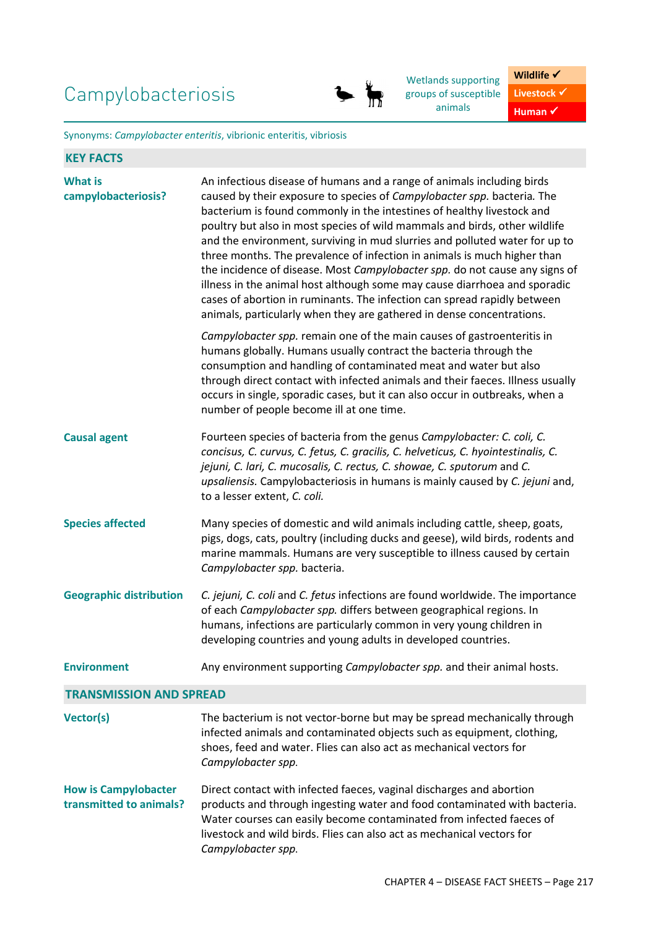## Campylobacteriosis



Wetlands supporting groups of susceptible animals

**Wildlife** √ Livestock  $\checkmark$ **Human** ✔

Synonyms: *Campylobacter enteritis*, vibrionic enteritis, vibriosis

| <b>KEY FACTS</b>                                       |                                                                                                                                                                                                                                                                                                                                                                                                                                                                                                                                                                                                                                                                                                                                                                                       |  |  |
|--------------------------------------------------------|---------------------------------------------------------------------------------------------------------------------------------------------------------------------------------------------------------------------------------------------------------------------------------------------------------------------------------------------------------------------------------------------------------------------------------------------------------------------------------------------------------------------------------------------------------------------------------------------------------------------------------------------------------------------------------------------------------------------------------------------------------------------------------------|--|--|
| <b>What is</b><br>campylobacteriosis?                  | An infectious disease of humans and a range of animals including birds<br>caused by their exposure to species of Campylobacter spp. bacteria. The<br>bacterium is found commonly in the intestines of healthy livestock and<br>poultry but also in most species of wild mammals and birds, other wildlife<br>and the environment, surviving in mud slurries and polluted water for up to<br>three months. The prevalence of infection in animals is much higher than<br>the incidence of disease. Most Campylobacter spp. do not cause any signs of<br>illness in the animal host although some may cause diarrhoea and sporadic<br>cases of abortion in ruminants. The infection can spread rapidly between<br>animals, particularly when they are gathered in dense concentrations. |  |  |
|                                                        | Campylobacter spp. remain one of the main causes of gastroenteritis in<br>humans globally. Humans usually contract the bacteria through the<br>consumption and handling of contaminated meat and water but also<br>through direct contact with infected animals and their faeces. Illness usually<br>occurs in single, sporadic cases, but it can also occur in outbreaks, when a<br>number of people become ill at one time.                                                                                                                                                                                                                                                                                                                                                         |  |  |
| <b>Causal agent</b>                                    | Fourteen species of bacteria from the genus Campylobacter: C. coli, C.<br>concisus, C. curvus, C. fetus, C. gracilis, C. helveticus, C. hyointestinalis, C.<br>jejuni, C. lari, C. mucosalis, C. rectus, C. showae, C. sputorum and C.<br>upsaliensis. Campylobacteriosis in humans is mainly caused by C. jejuni and,<br>to a lesser extent, C. coli.                                                                                                                                                                                                                                                                                                                                                                                                                                |  |  |
| <b>Species affected</b>                                | Many species of domestic and wild animals including cattle, sheep, goats,<br>pigs, dogs, cats, poultry (including ducks and geese), wild birds, rodents and<br>marine mammals. Humans are very susceptible to illness caused by certain<br>Campylobacter spp. bacteria.                                                                                                                                                                                                                                                                                                                                                                                                                                                                                                               |  |  |
| <b>Geographic distribution</b>                         | C. jejuni, C. coli and C. fetus infections are found worldwide. The importance<br>of each Campylobacter spp. differs between geographical regions. In<br>humans, infections are particularly common in very young children in<br>developing countries and young adults in developed countries.                                                                                                                                                                                                                                                                                                                                                                                                                                                                                        |  |  |
| <b>Environment</b>                                     | Any environment supporting Campylobacter spp. and their animal hosts.                                                                                                                                                                                                                                                                                                                                                                                                                                                                                                                                                                                                                                                                                                                 |  |  |
| <b>TRANSMISSION AND SPREAD</b>                         |                                                                                                                                                                                                                                                                                                                                                                                                                                                                                                                                                                                                                                                                                                                                                                                       |  |  |
| Vector(s)                                              | The bacterium is not vector-borne but may be spread mechanically through<br>infected animals and contaminated objects such as equipment, clothing,<br>shoes, feed and water. Flies can also act as mechanical vectors for<br>Campylobacter spp.                                                                                                                                                                                                                                                                                                                                                                                                                                                                                                                                       |  |  |
| <b>How is Campylobacter</b><br>transmitted to animals? | Direct contact with infected faeces, vaginal discharges and abortion<br>products and through ingesting water and food contaminated with bacteria.<br>Water courses can easily become contaminated from infected faeces of<br>livestock and wild birds. Flies can also act as mechanical vectors for<br>Campylobacter spp.                                                                                                                                                                                                                                                                                                                                                                                                                                                             |  |  |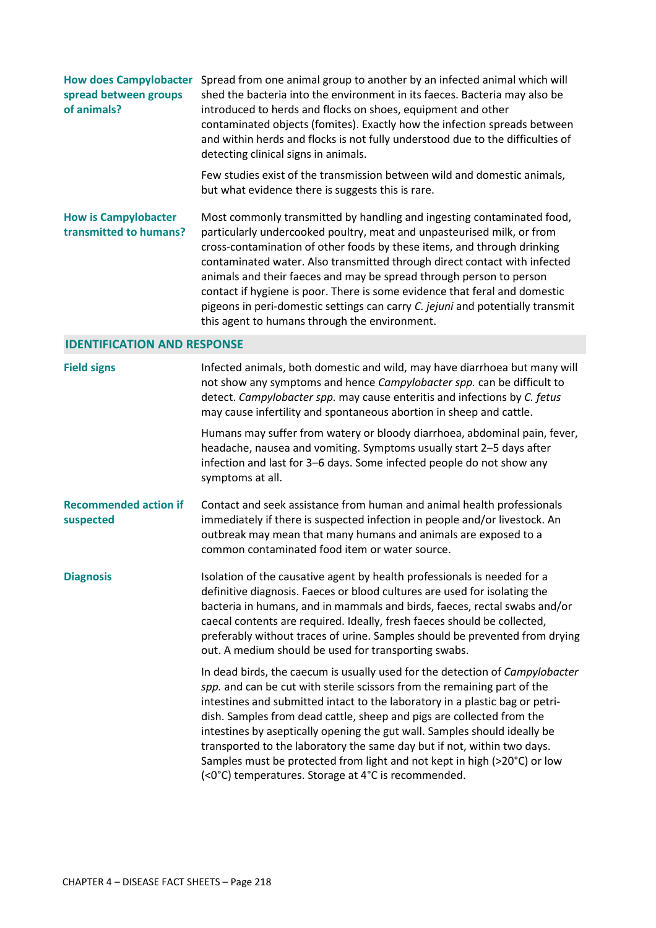| <b>How does Campylobacter</b><br>spread between groups<br>of animals? | Spread from one animal group to another by an infected animal which will<br>shed the bacteria into the environment in its faeces. Bacteria may also be<br>introduced to herds and flocks on shoes, equipment and other<br>contaminated objects (fomites). Exactly how the infection spreads between<br>and within herds and flocks is not fully understood due to the difficulties of<br>detecting clinical signs in animals.                                                                                                                                                                    |
|-----------------------------------------------------------------------|--------------------------------------------------------------------------------------------------------------------------------------------------------------------------------------------------------------------------------------------------------------------------------------------------------------------------------------------------------------------------------------------------------------------------------------------------------------------------------------------------------------------------------------------------------------------------------------------------|
|                                                                       | Few studies exist of the transmission between wild and domestic animals,<br>but what evidence there is suggests this is rare.                                                                                                                                                                                                                                                                                                                                                                                                                                                                    |
| <b>How is Campylobacter</b><br>transmitted to humans?                 | Most commonly transmitted by handling and ingesting contaminated food,<br>particularly undercooked poultry, meat and unpasteurised milk, or from<br>cross-contamination of other foods by these items, and through drinking<br>contaminated water. Also transmitted through direct contact with infected<br>animals and their faeces and may be spread through person to person<br>contact if hygiene is poor. There is some evidence that feral and domestic<br>pigeons in peri-domestic settings can carry C. jejuni and potentially transmit<br>this agent to humans through the environment. |
| <b>IDENTIFICATION AND RESPONSE</b>                                    |                                                                                                                                                                                                                                                                                                                                                                                                                                                                                                                                                                                                  |
| <b>Field signs</b>                                                    | Infected animals, both domestic and wild, may have diarrhoea but many will<br>not show any symptoms and hence Campylobacter spp. can be difficult to                                                                                                                                                                                                                                                                                                                                                                                                                                             |

detect. *Campylobacter spp.* may cause enteritis and infections by *C. fetus* may cause infertility and spontaneous abortion in sheep and cattle. Humans may suffer from watery or bloody diarrhoea, abdominal pain, fever, headache, nausea and vomiting. Symptoms usually start 2–5 days after

infection and last for 3–6 days. Some infected people do not show any symptoms at all.

## **Recommended action if suspected**  Contact and seek assistance from human and animal health professionals immediately if there is suspected infection in people and/or livestock. An outbreak may mean that many humans and animals are exposed to a common contaminated food item or water source.

**Diagnosis** Isolation of the causative agent by health professionals is needed for a definitive diagnosis. Faeces or blood cultures are used for isolating the bacteria in humans, and in mammals and birds, faeces, rectal swabs and/or caecal contents are required. Ideally, fresh faeces should be collected, preferably without traces of urine. Samples should be prevented from drying out. A medium should be used for transporting swabs.

> In dead birds, the caecum is usually used for the detection of *Campylobacter spp.* and can be cut with sterile scissors from the remaining part of the intestines and submitted intact to the laboratory in a plastic bag or petridish. Samples from dead cattle, sheep and pigs are collected from the intestines by aseptically opening the gut wall. Samples should ideally be transported to the laboratory the same day but if not, within two days. Samples must be protected from light and not kept in high (>20°C) or low (<0°C) temperatures. Storage at 4°C is recommended.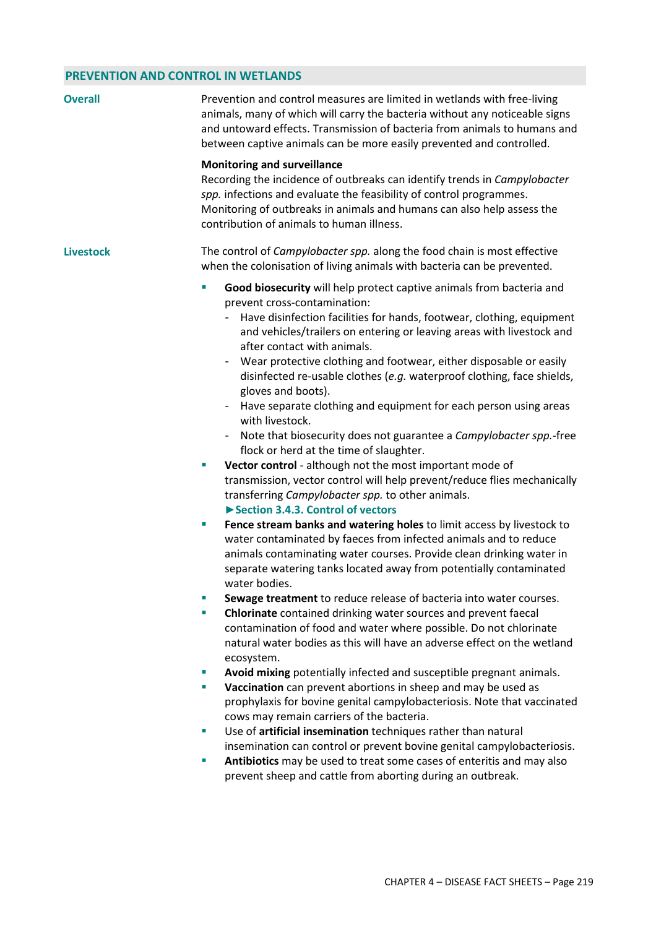## **PREVENTION AND CONTROL IN WETLANDS**

| <b>Overall</b>   | Prevention and control measures are limited in wetlands with free-living<br>animals, many of which will carry the bacteria without any noticeable signs<br>and untoward effects. Transmission of bacteria from animals to humans and<br>between captive animals can be more easily prevented and controlled.                                                                                                                                                                                                                                                                                                                                                                                                                                                                                                                                                                                                                                                                                                                                                                                                                                                                                                                                                                                                                                                                                                                                                                                                                                                                                                                                                                                                                                                                                                                                                                                                                                                                                                                                                                                                      |
|------------------|-------------------------------------------------------------------------------------------------------------------------------------------------------------------------------------------------------------------------------------------------------------------------------------------------------------------------------------------------------------------------------------------------------------------------------------------------------------------------------------------------------------------------------------------------------------------------------------------------------------------------------------------------------------------------------------------------------------------------------------------------------------------------------------------------------------------------------------------------------------------------------------------------------------------------------------------------------------------------------------------------------------------------------------------------------------------------------------------------------------------------------------------------------------------------------------------------------------------------------------------------------------------------------------------------------------------------------------------------------------------------------------------------------------------------------------------------------------------------------------------------------------------------------------------------------------------------------------------------------------------------------------------------------------------------------------------------------------------------------------------------------------------------------------------------------------------------------------------------------------------------------------------------------------------------------------------------------------------------------------------------------------------------------------------------------------------------------------------------------------------|
|                  | <b>Monitoring and surveillance</b><br>Recording the incidence of outbreaks can identify trends in Campylobacter<br>spp. infections and evaluate the feasibility of control programmes.<br>Monitoring of outbreaks in animals and humans can also help assess the<br>contribution of animals to human illness.                                                                                                                                                                                                                                                                                                                                                                                                                                                                                                                                                                                                                                                                                                                                                                                                                                                                                                                                                                                                                                                                                                                                                                                                                                                                                                                                                                                                                                                                                                                                                                                                                                                                                                                                                                                                     |
| <b>Livestock</b> | The control of Campylobacter spp. along the food chain is most effective<br>when the colonisation of living animals with bacteria can be prevented.                                                                                                                                                                                                                                                                                                                                                                                                                                                                                                                                                                                                                                                                                                                                                                                                                                                                                                                                                                                                                                                                                                                                                                                                                                                                                                                                                                                                                                                                                                                                                                                                                                                                                                                                                                                                                                                                                                                                                               |
|                  | Good biosecurity will help protect captive animals from bacteria and<br>×<br>prevent cross-contamination:<br>Have disinfection facilities for hands, footwear, clothing, equipment<br>and vehicles/trailers on entering or leaving areas with livestock and<br>after contact with animals.<br>Wear protective clothing and footwear, either disposable or easily<br>disinfected re-usable clothes (e.g. waterproof clothing, face shields,<br>gloves and boots).<br>Have separate clothing and equipment for each person using areas<br>with livestock.<br>Note that biosecurity does not guarantee a Campylobacter spp.-free<br>flock or herd at the time of slaughter.<br>Vector control - although not the most important mode of<br>$\sim$<br>transmission, vector control will help prevent/reduce flies mechanically<br>transferring Campylobacter spp. to other animals.<br>Section 3.4.3. Control of vectors<br>Fence stream banks and watering holes to limit access by livestock to<br>п<br>water contaminated by faeces from infected animals and to reduce<br>animals contaminating water courses. Provide clean drinking water in<br>separate watering tanks located away from potentially contaminated<br>water bodies.<br>Sewage treatment to reduce release of bacteria into water courses.<br>Chlorinate contained drinking water sources and prevent faecal<br>×<br>contamination of food and water where possible. Do not chlorinate<br>natural water bodies as this will have an adverse effect on the wetland<br>ecosystem.<br>Avoid mixing potentially infected and susceptible pregnant animals.<br>Vaccination can prevent abortions in sheep and may be used as<br>×<br>prophylaxis for bovine genital campylobacteriosis. Note that vaccinated<br>cows may remain carriers of the bacteria.<br>Use of artificial insemination techniques rather than natural<br>×<br>insemination can control or prevent bovine genital campylobacteriosis.<br>Antibiotics may be used to treat some cases of enteritis and may also<br>ш<br>prevent sheep and cattle from aborting during an outbreak. |
|                  |                                                                                                                                                                                                                                                                                                                                                                                                                                                                                                                                                                                                                                                                                                                                                                                                                                                                                                                                                                                                                                                                                                                                                                                                                                                                                                                                                                                                                                                                                                                                                                                                                                                                                                                                                                                                                                                                                                                                                                                                                                                                                                                   |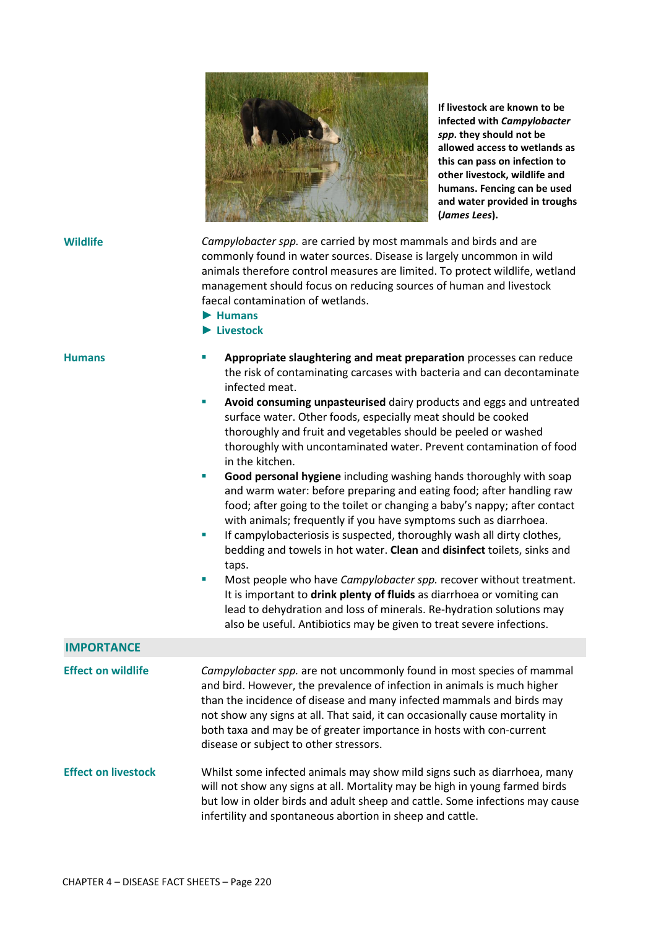

**If livestock are known to be infected with** *Campylobacter spp***. they should not be allowed access to wetlands as this can pass on infection to other livestock, wildlife and humans. Fencing can be used and water provided in troughs (***James Lees***).** 

**Wildlife** *Campylobacter spp.* are carried by most mammals and birds and are commonly found in water sources. Disease is largely uncommon in wild animals therefore control measures are limited. To protect wildlife, wetland management should focus on reducing sources of human and livestock faecal contamination of wetlands. **► Humans ► Livestock Humans Appropriate slaughtering and meat preparation** processes can reduce infected meat. **Avoid consuming unpasteurised** dairy products and eggs and untreated surface water. Other foods, especially meat should be cooked thoroughly and fruit and vegetables should be peeled or washed in the kitchen. **Good personal hygiene** including washing hands thoroughly with soap and warm water: before preparing and eating food; after handling raw with animals; frequently if you have symptoms such as diarrhoea. If campylobacteriosis is suspected, thoroughly wash all dirty clothes, bedding and towels in hot water. **Clean** and **disinfect** toilets, sinks and taps. It is important to **drink plenty of fluids** as diarrhoea or vomiting can lead to dehydration and loss of minerals. Re-hydration solutions may also be useful. Antibiotics may be given to treat severe infections. **IMPORTANCE Effect on wildlife** *Campylobacter spp.* are not uncommonly found in most species of mammal and bird. However, the prevalence of infection in animals is much higher than the incidence of disease and many infected mammals and birds may not show any signs at all. That said, it can occasionally cause mortality in both taxa and may be of greater importance in hosts with con-current disease or subject to other stressors. **Effect on livestock** Whilst some infected animals may show mild signs such as diarrhoea, many

will not show any signs at all. Mortality may be high in young farmed birds but low in older birds and adult sheep and cattle. Some infections may cause infertility and spontaneous abortion in sheep and cattle.

- the risk of contaminating carcases with bacteria and can decontaminate
	- thoroughly with uncontaminated water. Prevent contamination of food
	- food; after going to the toilet or changing a baby's nappy; after contact
	- Most people who have *Campylobacter spp.* recover without treatment.

## CHAPTER 4 – DISEASE FACT SHEETS – Page 220